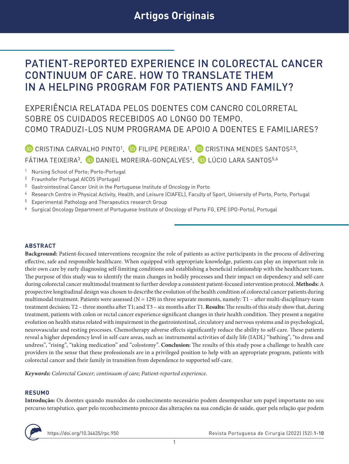# PATIENT-REPORTED EXPERIENCE IN COLORECTAL CANCER CONTINUUM OF CARE. HOW TO TRANSLATE THEM IN A HELPING PROGRAM FOR PATIENTS AND FAMILY?

EXPERIÊNCIA RELATADA PELOS DOENTES COM CANCRO COLORRETAL SOBRE OS CUIDADOS RECEBIDOS AO LONGO DO TEMPO. COMO TRADUZI-LOS NUM PROGRAMA DE APOIO A DOENTES E FAMILIARES?

<sup>(D</sup> CRISTINA CARVALHO PINTO<sup>1</sup>, <sup>(D</sup> FILIPE PEREIRA<sup>1</sup>, <sup>(D</sup> CRISTINA MENDES SANTOS<sup>2,5</sup>, FÁTIMA TEIXEIRA<sup>3</sup>, DDANIEL MOREIRA-GONCALVES<sup>4</sup>, DLÚCIO LARA SANTOS<sup>5,6</sup>

- <sup>1</sup> Nursing School of Porto; Porto-Portugal
- <sup>2</sup> Fraunhofer Portugal AICOS (Portugal)
- <sup>3</sup> Gastrointestinal Cancer Unit in the Portuguese Institute of Oncology in Porto
- <sup>4</sup> Research Centre in Physical Activity, Health, and Leisure (CIAFEL), Faculty of Sport, University of Porto, Porto, Portugal
- <sup>5</sup> Experimental Pathology and Therapeutics research Group
- <sup>6</sup> Surgical Oncology Department of Portuguese Institute of Oncology of Porto FG, EPE (IPO-Porto), Portugal

#### **ABSTRACT**

**Background:** Patient-focused interventions recognize the role of patients as active participants in the process of delivering effective, safe and responsible healthcare. When equipped with appropriate knowledge, patients can play an important role in their own care by early diagnosing self-limiting conditions and establishing a beneficial relationship with the healthcare team. The purpose of this study was to identify the main changes in bodily processes and their impact on dependency and self-care during colorectal cancer multimodal treatment to further develop a consistent patient-focused intervention protocol. **Methods:** A prospective longitudinal design was chosen to describe the evolution of the health condition of colorectal cancer patients during multimodal treatment. Patients were assessed ( $N = 129$ ) in three separate moments, namely: T1 – after multi-disciplinary-team treatment decision; T2 – three months after T1; and T3 – six months after T1. **Results:** The results of this study show that, during treatment, patients with colon or rectal cancer experience significant changes in their health condition. They present a negative evolution on health status related with impairment in the gastrointestinal, circulatory and nervous systems and in psychological, neurovascular and resting processes. Chemotherapy adverse effects significantly reduce the ability to self-care. These patients reveal a higher dependency level in self-care areas, such as: instrumental activities of daily life (IADL) "bathing", "to dress and undress", "rising", "taking medication" and "colostomy". **Conclusion:** The results of this study pose a challenge to health care providers in the sense that these professionals are in a privileged position to help with an appropriate program, patients with colorectal cancer and their family in transition from dependence to supported self-care.

*Keywords: Colorectal Cancer; continuum of care; Patient-reported experience.*

#### **RESUMO**

**Introdução:** Os doentes quando munidos do conhecimento necessário podem desempenhar um papel importante no seu percurso terapêutico, quer pelo reconhecimento precoce das alterações na sua condição de saúde, quer pela relação que podem

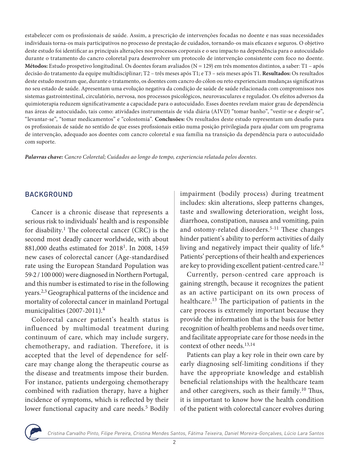estabelecer com os profissionais de saúde. Assim, a prescrição de intervenções focadas no doente e nas suas necessidades individuais torna-os mais participativos no processo de prestação de cuidados, tornando-os mais eficazes e seguros. O objetivo deste estudo foi identificar as principais alterações nos processos corporais e o seu impacto na dependência para o autocuidado durante o tratamento do cancro coloretal para desenvolver um protocolo de intervenção consistente com foco no doente. **Métodos:** Estudo prospetivo longitudinal. Os doentes foram avaliados (N = 129) em três momentos distintos, a saber: T1 – após decisão do tratamento da equipe multidisciplinar; T2 – três meses após T1; e T3 – seis meses após T1. **Resultados:** Os resultados deste estudo mostram que, durante o tratamento, os doentes com cancro do cólon ou reto experienciam mudanças significativas no seu estado de saúde. Apresentam uma evolução negativa da condição de saúde de saúde relacionada com compromissos nos sistemas gastrointestinal, circulatório, nervosa, nos processos psicológicos, neurovasculares e regulador. Os efeitos adversos da quimioterapia reduzem significativamente a capacidade para o autocuidado. Esses doentes revelam maior grau de dependência nas áreas de autocuidado, tais como: atividades instrumentais de vida diária (AIVD) "tomar banho", "vestir-se e despir-se", "levantar-se", "tomar medicamentos" e "colostomia". **Conclusões:** Os resultados deste estudo representam um desafio para os profissionais de saúde no sentido de que esses profissionais estão numa posição privilegiada para ajudar com um programa de intervenção, adequado aos doentes com cancro coloretal e sua família na transição da dependência para o autocuidado com suporte.

*Palavras chave: Cancro Coloretal; Cuidados ao longo do tempo, experiencia relatada pelos doentes.*

# **BACKGROUND**

Cancer is a chronic disease that represents a serious risk to individuals' health and is responsible for disability.<sup>1</sup> The colorectal cancer (CRC) is the second most deadly cancer worldwide, with about 881,000 deaths estimated for 20181. In 2008, 1459 new cases of colorectal cancer (Age-standardised rate using the European Standard Population was 59·2 / 100 000) were diagnosed in Northern Portugal, and this number is estimated to rise in the following years.2,3 Geographical patterns of the incidence and mortality of colorectal cancer in mainland Portugal municipalities (2007-2011).<sup>4</sup>

Colorectal cancer patient's health status is influenced by multimodal treatment during continuum of care, which may include surgery, chemotherapy, and radiation. Therefore, it is accepted that the level of dependence for selfcare may change along the therapeutic course as the disease and treatments impose their burden. For instance, patients undergoing chemotherapy combined with radiation therapy, have a higher incidence of symptoms, which is reflected by their lower functional capacity and care needs.<sup>5</sup> Bodily impairment (bodily process) during treatment includes: skin alterations, sleep patterns changes, taste and swallowing deterioration, weight loss, diarrhoea, constipation, nausea and vomiting, pain and ostomy-related disorders.<sup>5-11</sup> These changes hinder patient's ability to perform activities of daily living and negatively impact their quality of life.<sup>6</sup> Patients' perceptions of their health and experiences are key to providing excellent patient-centred care.<sup>12</sup>

Currently, person-centred care approach is gaining strength, because it recognizes the patient as an active participant on its own process of healthcare.13 The participation of patients in the care process is extremely important because they provide the information that is the basis for better recognition of health problems and needs over time, and facilitate appropriate care for those needs in the context of other needs.13,14

Patients can play a key role in their own care by early diagnosing self-limiting conditions if they have the appropriate knowledge and establish beneficial relationships with the healthcare team and other caregivers, such as their family.<sup>10</sup> Thus, it is important to know how the health condition of the patient with colorectal cancer evolves during

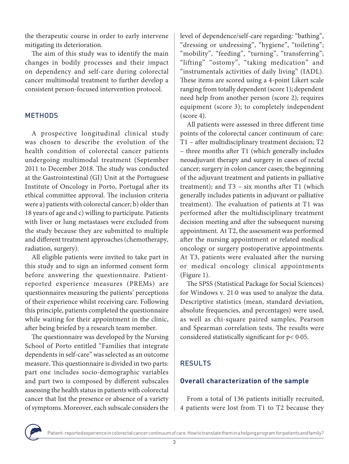the therapeutic course in order to early intervene mitigating its deterioration.

The aim of this study was to identify the main changes in bodily processes and their impact on dependency and self-care during colorectal cancer multimodal treatment to further develop a consistent person-focused intervention protocol.

# **METHODS**

A prospective longitudinal clinical study was chosen to describe the evolution of the health condition of colorectal cancer patients undergoing multimodal treatment (September 2011 to December 2018. The study was conducted at the Gastrointestinal (GI) Unit at the Portuguese Institute of Oncology in Porto, Portugal after its ethical committee approval. The inclusion criteria were a) patients with colorectal cancer; b) older than 18 years of age and c) willing to participate. Patients with liver or lung metastases were excluded from the study because they are submitted to multiple and different treatment approaches (chemotherapy, radiation, surgery).

All eligible patients were invited to take part in this study and to sign an informed consent form before answering the questionnaire. Patientreported experience measures (PREMs) are questionnaires measuring the patients' perceptions of their experience whilst receiving care. Following this principle, patients completed the questionnaire while waiting for their appointment in the clinic, after being briefed by a research team member.

The questionnaire was developed by the Nursing School of Porto entitled "Families that integrate dependents in self-care" was selected as an outcome measure. This questionnaire is divided in two parts: part one includes socio-demographic variables and part two is composed by different subscales assessing the health status in patients with colorectal cancer that list the presence or absence of a variety of symptoms. Moreover, each subscale considers the

level of dependence/self-care regarding: "bathing", "dressing or undressing", "hygiene", "toileting"; "mobility", "feeding", "turning", "transferring"; "lifting" "ostomy", "taking medication" and "instrumentals activities of daily living" (IADL). These items are scored using a 4-point Likert scale ranging from totally dependent (score 1); dependent need help from another person (score 2); requires equipment (score 3); to completely independent  $(score 4)$ .

All patients were assessed in three different time points of the colorectal cancer continuum of care: T1 – after multidisciplinary treatment decision; T2 – three months after T1 (which generally includes neoadjuvant therapy and surgery in cases of rectal cancer; surgery in colon cancer cases; the beginning of the adjuvant treatment and patients in palliative treatment); and T3 – six months after T1 (which generally includes patients in adjuvant or palliative treatment). The evaluation of patients at T1 was performed after the multidisciplinary treatment decision meeting and after the subsequent nursing appointment. At T2, the assessment was performed after the nursing appointment or related medical oncology or surgery postoperative appointments. At T3, patients were evaluated after the nursing or medical oncology clinical appointments (Figure 1).

The SPSS (Statistical Package for Social Sciences) for Windows v. 21·0 was used to analyze the data. Descriptive statistics (mean, standard deviation, absolute frequencies, and percentages) were used, as well as chi-square paired samples, Pearson and Spearman correlation tests. The results were considered statistically significant for p< 0·05.

# RESULTS

# **Overall characterization of the sample**

From a total of 136 patients initially recruited, 4 patients were lost from T1 to T2 because they

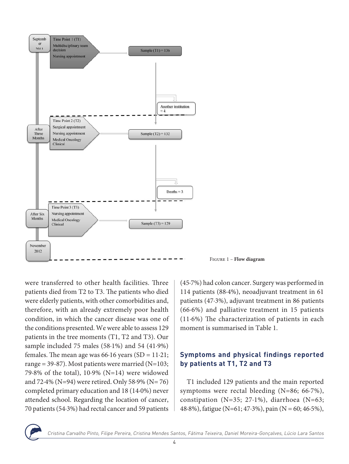

Figure 1 – **Flow diagram**

were transferred to other health facilities. Three patients died from T2 to T3. The patients who died were elderly patients, with other comorbidities and, therefore, with an already extremely poor health condition, in which the cancer disease was one of the conditions presented. We were able to assess 129 patients in the tree moments (T1, T2 and T3). Our sample included 75 males (58·1%) and 54 (41·9%) females. The mean age was  $66·16$  years  $(SD = 11·21;$ range = 39-87). Most patients were married  $(N=103;$ 79·8% of the total), 10·9% (N=14) were widowed and 72·4% (N=94) were retired. Only 58·9% (N= 76) completed primary education and 18 (14·0%) never attended school. Regarding the location of cancer, 70 patients (54·3%) had rectal cancer and 59 patients

(45·7%) had colon cancer. Surgery was performed in 114 patients (88·4%), neoadjuvant treatment in 61 patients (47·3%), adjuvant treatment in 86 patients (66·6%) and palliative treatment in 15 patients (11·6%) The characterization of patients in each moment is summarised in Table 1.

# **Symptoms and physical findings reported by patients at T1, T2 and T3**

T1 included 129 patients and the main reported symptoms were rectal bleeding (N=86; 66·7%), constipation (N=35; 27·1%), diarrhoea (N=63; 48.8%), fatigue (N=61; 47.3%), pain (N = 60; 46.5%),

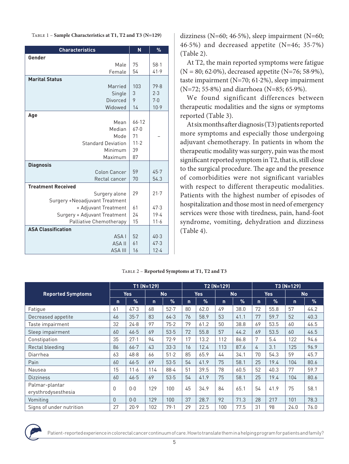| <b>Characteristics</b>                          | N        | %            |
|-------------------------------------------------|----------|--------------|
| Gender                                          |          |              |
| Male                                            | 75       | $58-1$       |
| Female                                          | 54       | 41.9         |
| <b>Marital Status</b>                           |          |              |
| Married                                         | 103      | 79.8         |
| Single                                          | 3        | 2.3          |
| <b>Divorced</b>                                 | 9        | 7.0          |
| Widowed                                         | 14       | 10.9         |
| Age                                             |          |              |
| Mean                                            | 66.12    |              |
| Median                                          | 67.0     |              |
| Mode                                            | 71       |              |
| <b>Standard Deviation</b>                       | 11.2     |              |
| Minimum                                         | 39       |              |
| Maximum                                         | 87       |              |
| <b>Diagnosis</b>                                |          |              |
| Colon Cancer<br>Rectal cancer                   | 59<br>70 | 45.7<br>54.3 |
| <b>Treatment Received</b>                       |          |              |
|                                                 | 29       | 21.7         |
| Surgery alone<br>Surgery +Neoadjuvant Treatment |          |              |
| + Adjuvant Treatment                            | 61       | 47.3         |
| Surgery + Adjuvant Treatment                    | 24       | 19.4         |
| Palliative Chemotherapy                         | 15       | 11.6         |
| <b>ASA Classification</b>                       |          |              |
| ASA I                                           | 52       | 40.3         |
| <b>ASA II</b>                                   | 61       | 47.3         |
| <b>ASA III</b>                                  | 16       | 12.4         |

dizziness (N=60; 46·5%), sleep impairment (N=60; 46·5%) and decreased appetite (N=46; 35·7%) (Table 2).

At T2, the main reported symptoms were fatigue (N = 80; 62·0%), decreased appetite (N=76; 58·9%), taste impairment (N=70; 61·2%), sleep impairment (N=72; 55·8%) and diarrhoea (N=85; 65·9%).

We found significant differences between therapeutic modalities and the signs or symptoms reported (Table 3).

At six months after diagnosis (T3) patients reported more symptoms and especially those undergoing adjuvant chemotherapy. In patients in whom the therapeutic modality was surgery, pain was the most significant reported symptom in T2, that is, still close to the surgical procedure. The age and the presence of comorbidities were not significant variables with respect to different therapeutic modalities. Patients with the highest number of episodes of hospitalization and those most in need of emergency services were those with tiredness, pain, hand-foot syndrome, vomiting, dehydration and dizziness (Table 4).

|                                       | $TI$ (N=129) |               |     | $T2(N=129)$ |             |            |     | T3 (N=129) |             |            |              |      |
|---------------------------------------|--------------|---------------|-----|-------------|-------------|------------|-----|------------|-------------|------------|--------------|------|
| <b>Reported Symptoms</b>              |              | <b>Yes</b>    |     | <b>No</b>   |             | <b>Yes</b> |     | <b>No</b>  |             | <b>Yes</b> | <b>No</b>    |      |
|                                       | n.           | $\frac{9}{6}$ | n.  | $\%$        | $\mathbf n$ | $\%$       | n   | $\%$       | $\mathbf n$ | $\%$       | $\mathsf{n}$ | $\%$ |
| Fatigue                               | 61           | 47.3          | 68  | $52 - 7$    | 80          | 62.0       | 49  | 38.0       | 72          | 55.8       | 57           | 44.2 |
| Decreased appetite                    | 46           | $35 - 7$      | 83  | 64.3        | 76          | 58.9       | 53  | 41.1       | 77          | 59.7       | 52           | 40.3 |
| Taste impairment                      | 32           | 24.8          | 97  | 75.2        | 79          | 61.2       | 50  | 38.8       | 69          | 53.5       | 60           | 46.5 |
| Sleep impairment                      | 60           | 46.5          | 69  | 53.5        | 72          | 55.8       | 57  | 44.2       | 69          | 53.5       | 60           | 46.5 |
| Constipation                          | 35           | $27-1$        | 94  | 72.9        | 17          | 13.2       | 112 | 86.8       | 7           | 5.4        | 122          | 94.6 |
| Rectal bleeding                       | 86           | $66 - 7$      | 43  | 33.3        | 16          | 12.4       | 113 | 87.6       | 4           | 3.1        | 125          | 96.9 |
| Diarrhea                              | 63           | 48.8          | 66  | 51.2        | 85          | 65.9       | 44  | 34.1       | 70          | 54.3       | 59           | 45.7 |
| Pain                                  | 60           | 46.5          | 69  | 53.5        | 54          | 41.9       | 75  | 58.1       | 25          | 19.4       | 104          | 80.6 |
| Nausea                                | 15           | 11.6          | 114 | 88.4        | 51          | 39.5       | 78  | 60.5       | 52          | 40.3       | 77           | 59.7 |
| <b>Dizziness</b>                      | 60           | 46.5          | 69  | 53.5        | 54          | 41.9       | 75  | 58.1       | 25          | 19.4       | 104          | 80.6 |
| Palmar-plantar<br>erysthrodysesthesia | 0            | 0.0           | 129 | 100         | 45          | 34.9       | 84  | 65.1       | 54          | 41.9       | 75           | 58.1 |
| Vomiting                              | $\theta$     | 0.0           | 129 | 100         | 37          | 28.7       | 92  | 71.3       | 28          | 217        | 101          | 78.3 |
| Signs of under nutrition              | 27           | 20.9          | 102 | 79.1        | 29          | 22.5       | 100 | 77.5       | 31          | 98         | 24.0         | 76.0 |

#### Table 2 – **Reported Symptoms at T1, T2 and T3**

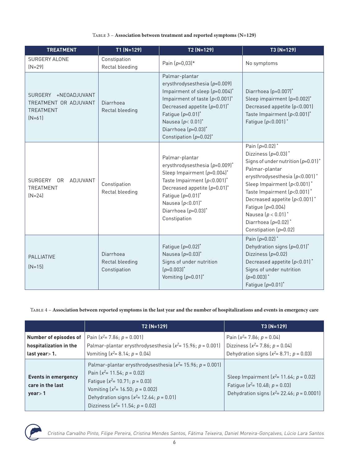#### Table 3 – **Association between treatment and reported symptoms (N=129)**

| <b>TREATMENT</b>                                                              | $T1(N=129)$                                  | $T2(N=129)$                                                                                                                                                                                                                                                          | T3 (N=129)                                                                                                                                                                                                                                                                                                                                               |
|-------------------------------------------------------------------------------|----------------------------------------------|----------------------------------------------------------------------------------------------------------------------------------------------------------------------------------------------------------------------------------------------------------------------|----------------------------------------------------------------------------------------------------------------------------------------------------------------------------------------------------------------------------------------------------------------------------------------------------------------------------------------------------------|
| SURGERY ALONE<br>$[N=29]$                                                     | Constipation<br>Rectal bleeding              | Pain $(p=0,03)*$                                                                                                                                                                                                                                                     | No symptoms                                                                                                                                                                                                                                                                                                                                              |
| SURGERY +NEOADJUVANT<br>TREATMENT OR ADJUVANT<br><b>TREATMENT</b><br>$[N=61]$ | Diarrhoea<br>Rectal bleeding                 | Palmar-plantar<br>erysthrodysesthesia (p=0.009)<br>Impairment of sleep $(p=0.004)^*$<br>Impairment of taste $(p<0.001)^*$<br>Decreased appetite $(p=0.01)^*$<br>Fatigue $(p=0.01)^*$<br>Nausea $(p < 0.01)^*$<br>Diarrhoea $(p=0.03)^*$<br>Constipation $(p=0.02)^*$ | Diarrhoea (p=0.007)*<br>Sleep impairment (p=0.002)*<br>Decreased appetite (p<0.001)<br>Taste Impairment $(p<0.001)^*$<br>Fatigue $(p<0.001)^*$                                                                                                                                                                                                           |
| SURGERY<br>ADJUVANT<br>0R<br><b>TREATMENT</b><br>$(N=24)$                     | Constipation<br>Rectal bleeding              | Palmar-plantar<br>erysthrodysesthesia (p=0.009)*<br>Sleep Impairment (p=0.004)*<br>Taste Impairment $(p<0.001)^*$<br>Decreased appetite $(p=0.01)^*$<br>Fatigue $(p=0.01)^*$<br>Nausea $(p<0.01)^*$<br>Diarrhoea $(p=0.03)^*$<br>Constipation                        | Pain $(p=0.02)^*$<br>Dizziness $(p=0.03)^*$<br>Signs of under nutrition $(p=0.01)^*$<br>Palmar-plantar<br>erysthrodysesthesia $(p<0.001)^*$<br>Sleep Impairment $(p<0.001)^*$<br>Taste Impairment $(p<0.001)^*$<br>Decreased appetite $(p<0.001)^*$<br>Fatigue $(p=0.004)$<br>Nausea $(p < 0.01)^*$<br>Diarrhoea $(p=0.02)^*$<br>Constipation $(p=0.02)$ |
| <b>PALLIATIVE</b><br>$(N=15)$                                                 | Diarrhoea<br>Rectal bleeding<br>Constipation | Fatigue $(p=0.02)^*$<br>Nausea $(p=0.03)^*$<br>Signs of under nutrition<br>$(p=0.003)^*$<br>Vomiting $(p=0.01)^*$                                                                                                                                                    | Pain $(p=0.02)^*$<br>Dehydration signs $(p=0.01)^*$<br>Dizziness $(p=0.02)$<br>Decreased appetite $(p<0.01)^*$<br>Signs of under nutrition<br>$(p=0.003)$ <sup>*</sup><br>Fatigue $(p=0.01)^*$                                                                                                                                                           |

Table 4 – **Association between reported symptoms in the last year and the number of hospitalizations and events in emergency care**

|                                                                      | T2 (N=129)                                                                                                                                                                                                                                                                                      | T3 (N=129)                                                                                                                                  |
|----------------------------------------------------------------------|-------------------------------------------------------------------------------------------------------------------------------------------------------------------------------------------------------------------------------------------------------------------------------------------------|---------------------------------------------------------------------------------------------------------------------------------------------|
| Number of episodes of<br>hospitalization in the<br>last year $> 1$ . | Pain $(x^2 = 7.86; p = 0.001)$<br>Palmar-plantar erysthrodysesthesia ( $x^2$ = 15.96; p = 0.001)<br>Vomiting $[x^2=8.14; p=0.04]$                                                                                                                                                               | Pain $(x^2 = 7.86; p = 0.04)$<br>Dizziness $(x^2 = 7.86; p = 0.04)$<br>Dehydration signs $(x^2 = 8.71; p = 0.03)$                           |
| <b>Events in emergency</b><br>care in the last<br>years > 1          | Palmar-plantar erysthrodysesthesia ( $x^2$ = 15.96; p = 0.001)<br>Pain $\left[x^2=11.54; p=0.02\right]$<br>Fatigue $\left[x^2 = 10.71; p = 0.03\right]$<br>Vomiting $\left(x^2 = 16.50; p = 0.002\right)$<br>Dehydration signs $(x^2 = 12.64; p = 0.01)$<br>Dizziness $(x^2 = 11.54; p = 0.02)$ | Sleep Impairment $(x^2 = 11.64; p = 0.02)$<br>Fatigue $\left(x^2 = 10.48; p = 0.03\right)$<br>Dehydration signs $(x^2 = 22.46; p = 0.0001)$ |



Cristina Carvalho Pinto, Filipe Pereira, Cristina Mendes Santos, Fátima Teixeira, Daniel Moreira-Gonçalves, Lúcio Lara Santos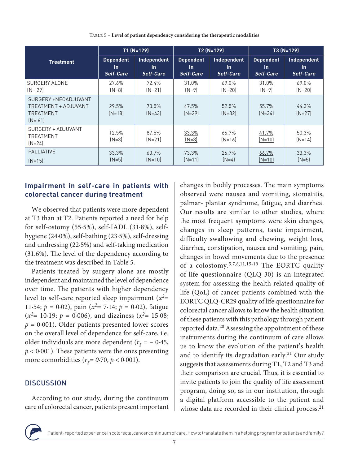|                                                                         |                   | $T1(N=129)$       |                   | $T2(N=129)$       | $T3(N=129)$       |                   |  |
|-------------------------------------------------------------------------|-------------------|-------------------|-------------------|-------------------|-------------------|-------------------|--|
| <b>Treatment</b>                                                        | <b>Dependent</b>  | Independent       | <b>Dependent</b>  | Independent       | <b>Dependent</b>  | Independent       |  |
|                                                                         | <b>In</b>         | In.               | <b>In</b>         | In.               | <b>In</b>         | In.               |  |
|                                                                         | <b>Self-Care</b>  | Self-Care         | Self-Care         | Self-Care         | Self-Care         | Self-Care         |  |
| <b>SURGERY ALONE</b>                                                    | 27.6%             | 72.4%             | 31.0%             | 69.0%             | 31.0%             | 69.0%             |  |
| $[N = 29]$                                                              | $[N=8]$           | $(N=21)$          | $[N=9]$           | $[N=20]$          | $[N=9]$           | $(N=20)$          |  |
| SURGERY +NEOADJUVANT<br>TREATMENT + ADJUVANT<br>TREATMENT<br>$[N = 61]$ | 29.5%<br>$[N=18]$ | 70.5%<br>$[N=43]$ | 47.5%<br>$[N=29]$ | 52.5%<br>$[N=32]$ | 55.7%<br>$(N=34)$ | 44.3%<br>$(N=27)$ |  |
| SURGERY + ADJUVANT<br><b>TREATMENT</b><br>$[N=24]$                      | 12.5%<br>$[N=3]$  | 87.5%<br>$[N=21]$ | 33.3%<br>$(N=8)$  | 66.7%<br>$[N=16]$ | 41.7%<br>$(N=10)$ | 50.3%<br>$[N=14]$ |  |
| <b>PALLIATIVE</b>                                                       | 33.3%             | 60.7%             | 73.3%             | 26.7%             | 66.7%             | 33.3%             |  |
| $[N=15]$                                                                | $[N=5]$           | $(N=10)$          | $[N=11]$          | $[N=4]$           | $(N=10)$          | $[N=5]$           |  |

Table 5 – **Level of patient dependency considering the therapeutic modalities**

# **Impairment in self-care in patients with colorectal cancer during treatment**

We observed that patients were more dependent at T3 than at T2. Patients reported a need for help for self-ostomy (55·5%), self-IADL (31·8%), selfhygiene (24·0%), self-bathing (23·5%), self-dressing and undressing (22·5%) and self-taking medication (31.6%). The level of the dependency according to the treatment was described in Table 5.

Patients treated by surgery alone are mostly independent and maintained the level of dependence over time. The patients with higher dependency level to self-care reported sleep impairment  $(x^2=$ 11.54;  $p = 0.02$ ), pain ( $x^2 = 7.14$ ;  $p = 0.02$ ), fatigue  $(x^2=10.19; p = 0.006)$ , and dizziness  $(x^2=15.08;$  $p = 0.001$ ). Older patients presented lower scores on the overall level of dependence for self-care, i.e. older individuals are more dependent  $(r<sub>s</sub> = -0.45,$  $p < 0.001$ ). These patients were the ones presenting more comorbidities  $(r<sub>s</sub>= 0.70, p < 0.001)$ .

# **DISCUSSION**

According to our study, during the continuum care of colorectal cancer, patients present important changes in bodily processes. The main symptoms observed were nausea and vomiting, stomatitis, palmar- plantar syndrome, fatigue, and diarrhea. Our results are similar to other studies, where the most frequent symptoms were skin changes, changes in sleep patterns, taste impairment, difficulty swallowing and chewing, weight loss, diarrhea, constipation, nausea and vomiting, pain, changes in bowel movements due to the presence of a colostomy.5,7,8,11,15-19 The EORTC quality of life questionnaire (QLQ 30) is an integrated system for assessing the health related quality of life (QoL) of cancer patients combined with the EORTC QLQ-CR29 quality of life questionnaire for colorectal cancer allows to know the health situation of these patients with this pathology through patient reported data.<sup>20</sup> Assessing the appointment of these instruments during the continuum of care allows us to know the evolution of the patient's health and to identify its degradation early.<sup>21</sup> Our study suggests that assessments during T1, T2 and T3 and their comparison are crucial. Thus, it is essential to invite patients to join the quality of life assessment program, doing so, as in our institution, through a digital platform accessible to the patient and whose data are recorded in their clinical process.<sup>21</sup>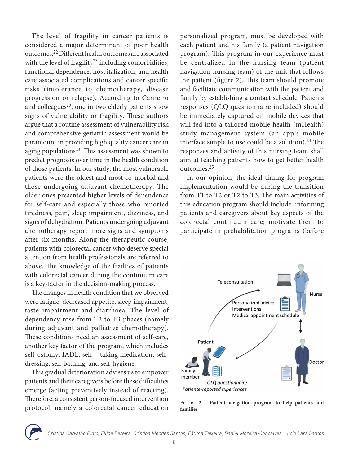The level of fragility in cancer patients is considered a major determinant of poor health outcomes.22 Different health outcomes are associated with the level of fragility<sup>23</sup> including comorbidities, functional dependence, hospitalization, and health care associated complications and cancer specific risks (intolerance to chemotherapy, disease progression or relapse). According to Carneiro and colleagues<sup>23</sup>, one in two elderly patients show signs of vulnerability or fragility. These authors argue that a routine assessment of vulnerability risk and comprehensive geriatric assessment would be paramount in providing high quality cancer care in aging populations $23$ . This assessment was shown to predict prognosis over time in the health condition of those patients. In our study, the most vulnerable patients were the oldest and most co-morbid and those undergoing adjuvant chemotherapy. The older ones presented higher levels of dependence for self-care and especially those who reported tiredness, pain, sleep impairment, dizziness, and signs of dehydration. Patients undergoing adjuvant chemotherapy report more signs and symptoms after six months. Along the therapeutic course, patients with colorectal cancer who deserve special attention from health professionals are referred to above. The knowledge of the frailties of patients with colorectal cancer during the continuum care is a key-factor in the decision-making process.

The changes in health condition that we observed were fatigue, decreased appetite, sleep impairment, taste impairment and diarrhoea. The level of dependency rose from T2 to T3 phases (namely during adjuvant and palliative chemotherapy). These conditions need an assessment of self-care, another key factor of the program, which includes self-ostomy, IADL, self – taking medication, selfdressing, self-bathing, and self-hygiene.

This gradual deterioration advises us to empower patients and their caregivers before these difficulties emerge (acting preventively instead of reacting). Therefore, a consistent person-focused intervention protocol, namely a colorectal cancer education personalized program, must be developed with each patient and his family (a patient navigation program). This program in our experience must be centralized in the nursing team (patient navigation nursing team) of the unit that follows the patient (figure 2). This team should promote and facilitate communication with the patient and family by establishing a contact schedule. Patients responses (QLQ questionnaire included) should be immediately captured on mobile devices that will fed into a tailored mobile health (mHealth) study management system (an app's mobile interface simple to use could be a solution). $24$  The responses and activity of this nursing team shall aim at teaching patients how to get better health outcomes.25

In our opinion, the ideal timing for program implementation would be during the transition from T1 to T2 or T2 to T3. The main activities of this education program should include: informing patients and caregivers about key aspects of the colorectal continuum care; motivate them to participate in prehabilitation programs (before



Figure 2 – **Patient-navigation program to help patients and families**

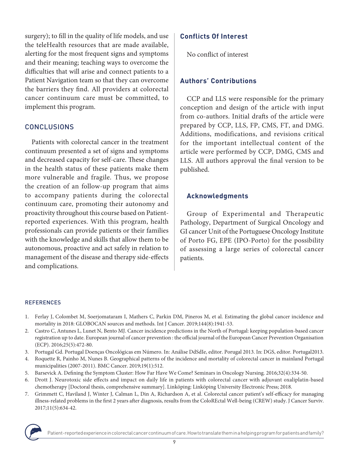surgery); to fill in the quality of life models, and use the teleHealth resources that are made available, alerting for the most frequent signs and symptoms and their meaning; teaching ways to overcome the difficulties that will arise and connect patients to a Patient Navigation team so that they can overcome the barriers they find. All providers at colorectal cancer continuum care must be committed, to implement this program.

# **CONCLUSIONS**

Patients with colorectal cancer in the treatment continuum presented a set of signs and symptoms and decreased capacity for self-care. These changes in the health status of these patients make them more vulnerable and fragile. Thus, we propose the creation of an follow-up program that aims to accompany patients during the colorectal continuum care, promoting their autonomy and proactivity throughout this course based on Patientreported experiences. With this program, health professionals can provide patients or their families with the knowledge and skills that allow them to be autonomous, proactive and act safely in relation to management of the disease and therapy side-effects and complications.

# **Conflicts Of Interest**

No conflict of interest

# **Authors' Contributions**

CCP and LLS were responsible for the primary conception and design of the article with input from co-authors. Initial drafts of the article were prepared by CCP, LLS, FP, CMS, FT, and DMG. Additions, modifications, and revisions critical for the important intellectual content of the article were performed by CCP, DMG, CMS and LLS. All authors approval the final version to be published.

# **Acknowledgments**

Group of Experimental and Therapeutic Pathology, Department of Surgical Oncology and GI cancer Unit of the Portuguese Oncology Institute of Porto FG, EPE (IPO-Porto) for the possibility of assessing a large series of colorectal cancer patients.

#### REFERENCES

- 1. Ferlay J, Colombet M, Soerjomataram I, Mathers C, Parkin DM, Pineros M, et al. Estimating the global cancer incidence and mortality in 2018: GLOBOCAN sources and methods. Int J Cancer. 2019;144(8):1941-53.
- 2. Castro C, Antunes L, Lunet N, Bento MJ. Cancer incidence predictions in the North of Portugal: keeping population-based cancer registration up to date. European journal of cancer prevention : the official journal of the European Cancer Prevention Organisation (ECP). 2016;25(5):472-80.
- 3. Portugal Gd. Portugal Doenças Oncológicas em Número. In: Análise DdSdIe, editor. Porugal 2013. In: DGS, editor. Portugal2013.
- 4. Roquette R, Painho M, Nunes B. Geographical patterns of the incidence and mortality of colorectal cancer in mainland Portugal municipalities (2007-2011). BMC Cancer. 2019;19(1):512.
- 5. Barsevick A. Defining the Symptom Cluster: How Far Have We Come? Seminars in Oncology Nursing. 2016;32(4):334-50.
- 6. Drott J. Neurotoxic side effects and impact on daily life in patients with colorectal cancer with adjuvant oxaliplatin-based chemotherapy [Doctoral thesis, comprehensive summary]. Linköping: Linköping University Electronic Press; 2018.
- 7. Grimmett C, Haviland J, Winter J, Calman L, Din A, Richardson A, et al. Colorectal cancer patient's self-efficacy for managing illness-related problems in the first 2 years after diagnosis, results from the ColoREctal Well-being (CREW) study. J Cancer Surviv. 2017;11(5):634-42.